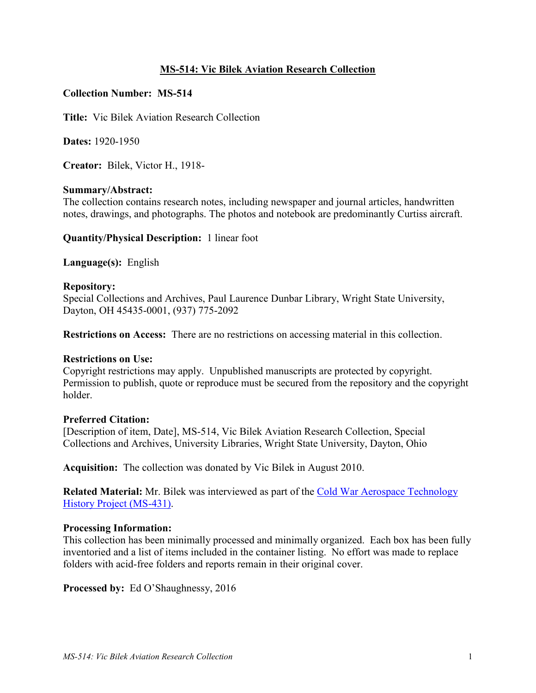## **MS-514: Vic Bilek Aviation Research Collection**

## **Collection Number: MS-514**

**Title:** Vic Bilek Aviation Research Collection

**Dates:** 1920-1950

**Creator:** Bilek, Victor H., 1918-

### **Summary/Abstract:**

The collection contains research notes, including newspaper and journal articles, handwritten notes, drawings, and photographs. The photos and notebook are predominantly Curtiss aircraft.

**Quantity/Physical Description:** 1 linear foot

**Language(s):** English

#### **Repository:**

Special Collections and Archives, Paul Laurence Dunbar Library, Wright State University, Dayton, OH 45435-0001, (937) 775-2092

**Restrictions on Access:** There are no restrictions on accessing material in this collection.

### **Restrictions on Use:**

Copyright restrictions may apply. Unpublished manuscripts are protected by copyright. Permission to publish, quote or reproduce must be secured from the repository and the copyright holder.

### **Preferred Citation:**

[Description of item, Date], MS-514, Vic Bilek Aviation Research Collection, Special Collections and Archives, University Libraries, Wright State University, Dayton, Ohio

**Acquisition:** The collection was donated by Vic Bilek in August 2010.

**Related Material:** Mr. Bilek was interviewed as part of the [Cold War Aerospace Technology](http://www.libraries.wright.edu/special/collectionguides/files/ms431.pdf)  [History Project \(MS-431\).](http://www.libraries.wright.edu/special/collectionguides/files/ms431.pdf)

### **Processing Information:**

This collection has been minimally processed and minimally organized. Each box has been fully inventoried and a list of items included in the container listing. No effort was made to replace folders with acid-free folders and reports remain in their original cover.

**Processed by:** Ed O'Shaughnessy, 2016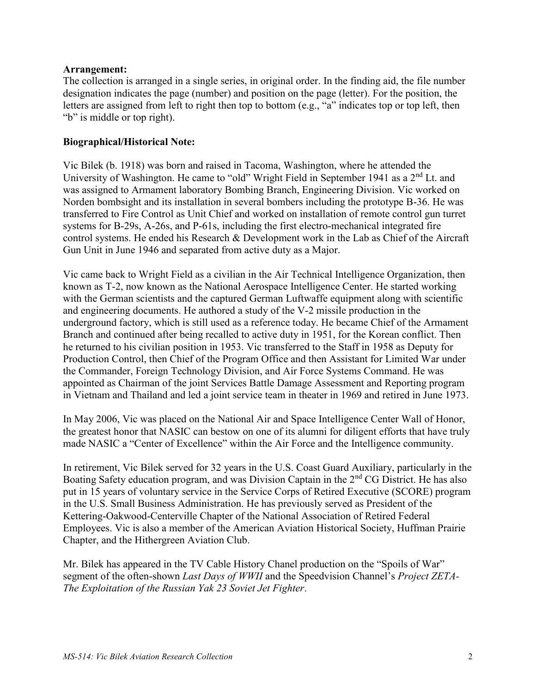## **Arrangement:**

The collection is arranged in a single series, in original order. In the finding aid, the file number designation indicates the page (number) and position on the page (letter). For the position, the letters are assigned from left to right then top to bottom (e.g., "a" indicates top or top left, then "b" is middle or top right).

## **Biographical/Historical Note:**

Vic Bilek (b. 1918) was born and raised in Tacoma, Washington, where he attended the University of Washington. He came to "old" Wright Field in September 1941 as a 2<sup>nd</sup> Lt. and was assigned to Armament laboratory Bombing Branch, Engineering Division. Vic worked on Norden bombsight and its installation in several bombers including the prototype B-36. He was transferred to Fire Control as Unit Chief and worked on installation of remote control gun turret systems for B-29s, A-26s, and P-61s, including the first electro-mechanical integrated fire control systems. He ended his Research & Development work in the Lab as Chief of the Aircraft Gun Unit in June 1946 and separated from active duty as a Major.

Vic came back to Wright Field as a civilian in the Air Technical Intelligence Organization, then known as T-2, now known as the National Aerospace Intelligence Center. He started working with the German scientists and the captured German Luftwaffe equipment along with scientific and engineering documents. He authored a study of the V-2 missile production in the underground factory, which is still used as a reference today. He became Chief of the Armament Branch and continued after being recalled to active duty in 1951, for the Korean conflict. Then he returned to his civilian position in 1953. Vic transferred to the Staff in 1958 as Deputy for Production Control, then Chief of the Program Office and then Assistant for Limited War under the Commander, Foreign Technology Division, and Air Force Systems Command. He was appointed as Chairman of the joint Services Battle Damage Assessment and Reporting program in Vietnam and Thailand and led a joint service team in theater in 1969 and retired in June 1973.

In May 2006, Vic was placed on the National Air and Space Intelligence Center Wall of Honor, the greatest honor that NASIC can bestow on one of its alumni for diligent efforts that have truly made NASIC a "Center of Excellence" within the Air Force and the Intelligence community.

In retirement, Vic Bilek served for 32 years in the U.S. Coast Guard Auxiliary, particularly in the Boating Safety education program, and was Division Captain in the 2<sup>nd</sup> CG District. He has also put in 15 years of voluntary service in the Service Corps of Retired Executive (SCORE) program in the U.S. Small Business Administration. He has previously served as President of the Kettering-Oakwood-Centerville Chapter of the National Association of Retired Federal Employees. Vic is also a member of the American Aviation Historical Society, Huffman Prairie Chapter, and the Hithergreen Aviation Club.

Mr. Bilek has appeared in the TV Cable History Chanel production on the "Spoils of War" segment of the often-shown *Last Days of WWII* and the Speedvision Channel's *Project ZETA-The Exploitation of the Russian Yak 23 Soviet Jet Fighter*.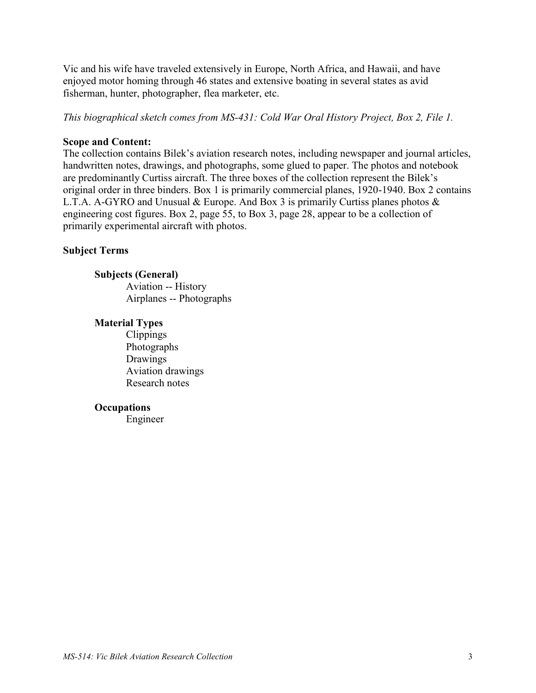Vic and his wife have traveled extensively in Europe, North Africa, and Hawaii, and have enjoyed motor homing through 46 states and extensive boating in several states as avid fisherman, hunter, photographer, flea marketer, etc.

*This biographical sketch comes from MS-431: Cold War Oral History Project, Box 2, File 1.*

## **Scope and Content:**

The collection contains Bilek's aviation research notes, including newspaper and journal articles, handwritten notes, drawings, and photographs, some glued to paper. The photos and notebook are predominantly Curtiss aircraft. The three boxes of the collection represent the Bilek's original order in three binders. Box 1 is primarily commercial planes, 1920-1940. Box 2 contains L.T.A. A-GYRO and Unusual & Europe. And Box 3 is primarily Curtiss planes photos & engineering cost figures. Box 2, page 55, to Box 3, page 28, appear to be a collection of primarily experimental aircraft with photos.

## **Subject Terms**

## **Subjects (General)**

Aviation -- History Airplanes -- Photographs

### **Material Types**

Clippings Photographs Drawings Aviation drawings Research notes

### **Occupations**

Engineer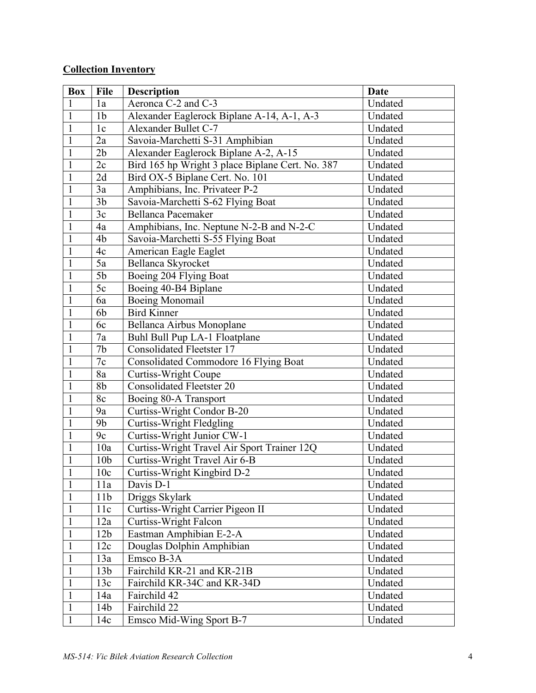# **Collection Inventory**

| <b>Box</b>   | <b>File</b>     | <b>Description</b>                               | <b>Date</b> |
|--------------|-----------------|--------------------------------------------------|-------------|
| $\mathbf{1}$ | 1a              | Aeronca C-2 and C-3                              | Undated     |
| $\mathbf{1}$ | 1 <sub>b</sub>  | Alexander Eaglerock Biplane A-14, A-1, A-3       | Undated     |
| 1            | 1c              | Alexander Bullet C-7                             | Undated     |
| $\mathbf{1}$ | 2a              | Savoia-Marchetti S-31 Amphibian                  | Undated     |
| $\mathbf{1}$ | 2 <sub>b</sub>  | Alexander Eaglerock Biplane A-2, A-15            | Undated     |
| $\mathbf{1}$ | 2c              | Bird 165 hp Wright 3 place Biplane Cert. No. 387 | Undated     |
| $\mathbf{1}$ | 2d              | Bird OX-5 Biplane Cert. No. 101                  | Undated     |
| $\mathbf{1}$ | 3a              | Amphibians, Inc. Privateer P-2                   | Undated     |
| $\mathbf{1}$ | 3 <sub>b</sub>  | Savoia-Marchetti S-62 Flying Boat                | Undated     |
| $\mathbf{1}$ | 3c              | Bellanca Pacemaker                               | Undated     |
| 1            | 4a              | Amphibians, Inc. Neptune N-2-B and N-2-C         | Undated     |
| $\mathbf{1}$ | 4b              | Savoia-Marchetti S-55 Flying Boat                | Undated     |
| $\mathbf{1}$ | 4c              | American Eagle Eaglet                            | Undated     |
| 1            | 5a              | Bellanca Skyrocket                               | Undated     |
| $\mathbf{1}$ | 5 <sub>b</sub>  | Boeing 204 Flying Boat                           | Undated     |
| $\mathbf{1}$ | 5c              | Boeing 40-B4 Biplane                             | Undated     |
| 1            | 6a              | <b>Boeing Monomail</b>                           | Undated     |
| $\mathbf{1}$ | 6b              | <b>Bird Kinner</b>                               | Undated     |
| $\mathbf{1}$ | 6c              | Bellanca Airbus Monoplane                        | Undated     |
| $\mathbf{1}$ | 7a              | Buhl Bull Pup LA-1 Floatplane                    | Undated     |
| 1            | 7 <sub>b</sub>  | <b>Consolidated Fleetster 17</b>                 | Undated     |
| $\mathbf{1}$ | 7c              | <b>Consolidated Commodore 16 Flying Boat</b>     | Undated     |
| $\mathbf{1}$ | 8a              | <b>Curtiss-Wright Coupe</b>                      | Undated     |
| $\mathbf{1}$ | 8 <sub>b</sub>  | <b>Consolidated Fleetster 20</b>                 | Undated     |
| $\mathbf{1}$ | 8c              | Boeing 80-A Transport                            | Undated     |
| $\mathbf{1}$ | 9a              | Curtiss-Wright Condor B-20                       | Undated     |
| $\mathbf{1}$ | 9 <sub>b</sub>  | <b>Curtiss-Wright Fledgling</b>                  | Undated     |
| $\mathbf{1}$ | 9c              | Curtiss-Wright Junior CW-1                       | Undated     |
| $\mathbf{1}$ | 10a             | Curtiss-Wright Travel Air Sport Trainer 12Q      | Undated     |
| $\mathbf{1}$ | 10 <sub>b</sub> | Curtiss-Wright Travel Air 6-B                    | Undated     |
| $\mathbf{1}$ | 10c             | Curtiss-Wright Kingbird D-2                      | Undated     |
| $\mathbf{1}$ | 11a             | Davis D-1                                        | Undated     |
| $\mathbf{1}$ | 11 <sub>b</sub> | Driggs Skylark                                   | Undated     |
| $\mathbf{1}$ | 11c             | Curtiss-Wright Carrier Pigeon II                 | Undated     |
| $\mathbf{1}$ | 12a             | <b>Curtiss-Wright Falcon</b>                     | Undated     |
| $\mathbf{1}$ | 12 <sub>b</sub> | Eastman Amphibian E-2-A                          | Undated     |
| 1            | 12c             | Douglas Dolphin Amphibian                        | Undated     |
| $\mathbf{1}$ | 13a             | Emsco B-3A                                       | Undated     |
| $\mathbf{1}$ | 13 <sub>b</sub> | Fairchild KR-21 and KR-21B                       | Undated     |
| $\mathbf{1}$ | 13c             | Fairchild KR-34C and KR-34D                      | Undated     |
| 1            | 14a             | Fairchild 42                                     | Undated     |
| $\mathbf{1}$ | 14b             | Fairchild 22                                     | Undated     |
| $\mathbf{1}$ | 14c             | Emsco Mid-Wing Sport B-7                         | Undated     |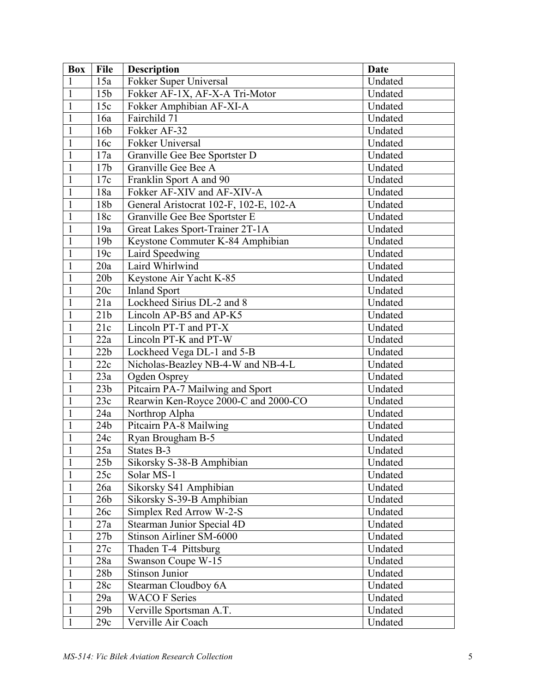| <b>Box</b>   | <b>File</b>     | <b>Description</b>                     | Date    |
|--------------|-----------------|----------------------------------------|---------|
| $\mathbf{1}$ | 15a             | Fokker Super Universal                 | Undated |
| $\mathbf{1}$ | 15 <sub>b</sub> | Fokker AF-1X, AF-X-A Tri-Motor         | Undated |
| $\mathbf{1}$ | 15c             | Fokker Amphibian AF-XI-A               | Undated |
| $\mathbf{1}$ | 16a             | Fairchild 71                           | Undated |
| $\mathbf{1}$ | 16 <sub>b</sub> | Fokker AF-32                           | Undated |
| $\mathbf{1}$ | 16c             | Fokker Universal                       | Undated |
| $\mathbf{1}$ | 17a             | Granville Gee Bee Sportster D          | Undated |
| $\mathbf{1}$ | 17 <sub>b</sub> | Granville Gee Bee A                    | Undated |
| $\mathbf{1}$ | 17c             | Franklin Sport A and 90                | Undated |
| $\mathbf{1}$ | 18a             | Fokker AF-XIV and AF-XIV-A             | Undated |
| 1            | 18b             | General Aristocrat 102-F, 102-E, 102-A | Undated |
| $\mathbf{1}$ | 18c             | Granville Gee Bee Sportster E          | Undated |
| $\mathbf{1}$ | 19a             | Great Lakes Sport-Trainer 2T-1A        | Undated |
| $\mathbf{1}$ | 19 <sub>b</sub> | Keystone Commuter K-84 Amphibian       | Undated |
| $\mathbf{1}$ | 19c             | Laird Speedwing                        | Undated |
| $\mathbf{1}$ | 20a             | Laird Whirlwind                        | Undated |
| $\mathbf{1}$ | 20 <sub>b</sub> | Keystone Air Yacht K-85                | Undated |
| $\mathbf{1}$ | 20c             | <b>Inland Sport</b>                    | Undated |
| $\mathbf{1}$ | 21a             | Lockheed Sirius DL-2 and 8             | Undated |
| $\mathbf{1}$ | 21b             | Lincoln AP-B5 and AP-K5                | Undated |
| $\mathbf{1}$ | 21c             | Lincoln PT-T and PT-X                  | Undated |
| $\mathbf{1}$ | 22a             | Lincoln PT-K and PT-W                  | Undated |
| 1            | 22b             | Lockheed Vega DL-1 and 5-B             | Undated |
| $\mathbf{1}$ | 22c             | Nicholas-Beazley NB-4-W and NB-4-L     | Undated |
| $\mathbf{1}$ | 23a             | Ogden Osprey                           | Undated |
| $\mathbf{1}$ | 23 <sub>b</sub> | Pitcairn PA-7 Mailwing and Sport       | Undated |
| $\mathbf{1}$ | 23c             | Rearwin Ken-Royce 2000-C and 2000-CO   | Undated |
| $\mathbf{1}$ | 24a             | Northrop Alpha                         | Undated |
| $\mathbf{1}$ | 24 <sub>b</sub> | Pitcairn PA-8 Mailwing                 | Undated |
| $\mathbf{1}$ | 24c             | Ryan Brougham B-5                      | Undated |
| $\mathbf{1}$ | 25a             | States B-3                             | Undated |
| $\mathbf{1}$ | 25 <sub>b</sub> | Sikorsky S-38-B Amphibian              | Undated |
| $\mathbf{1}$ | 25c             | Solar MS-1                             | Undated |
| $\mathbf{1}$ | 26a             | Sikorsky S41 Amphibian                 | Undated |
| $\mathbf{1}$ | 26 <sub>b</sub> | Sikorsky S-39-B Amphibian              | Undated |
| $\mathbf{1}$ | 26c             | Simplex Red Arrow W-2-S                | Undated |
| $\mathbf{1}$ | 27a             | Stearman Junior Special 4D             | Undated |
| $\mathbf{1}$ | 27 <sub>b</sub> | Stinson Airliner SM-6000               | Undated |
| $\mathbf{1}$ | 27c             | Thaden T-4 Pittsburg                   | Undated |
| $\mathbf{1}$ | 28a             | Swanson Coupe W-15                     | Undated |
| $\mathbf{1}$ | 28 <sub>b</sub> | Stinson Junior                         | Undated |
| $\mathbf{1}$ | 28c             | Stearman Cloudboy 6A                   | Undated |
| $\mathbf{1}$ | 29a             | <b>WACO F Series</b>                   | Undated |
| $\mathbf{1}$ | 29 <sub>b</sub> | Verville Sportsman A.T.                | Undated |
| $\mathbf{1}$ | 29c             | Verville Air Coach                     | Undated |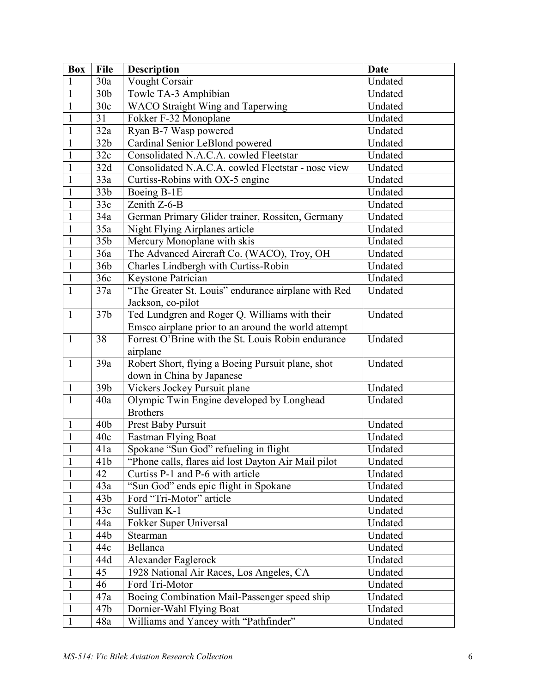| Box          | <b>File</b>     | <b>Description</b>                                  | <b>Date</b> |
|--------------|-----------------|-----------------------------------------------------|-------------|
|              | 30a             | <b>Vought Corsair</b>                               | Undated     |
| $\mathbf{1}$ | 30 <sub>b</sub> | Towle TA-3 Amphibian                                | Undated     |
| $\mathbf{1}$ | 30c             | <b>WACO Straight Wing and Taperwing</b>             | Undated     |
| $\mathbf{1}$ | 31              | Fokker F-32 Monoplane                               | Undated     |
| $\mathbf{1}$ | 32a             | Ryan B-7 Wasp powered                               | Undated     |
| $\mathbf{1}$ | 32 <sub>b</sub> | Cardinal Senior LeBlond powered                     | Undated     |
| $\mathbf{1}$ | 32c             | Consolidated N.A.C.A. cowled Fleetstar              | Undated     |
| $\mathbf{1}$ | 32d             | Consolidated N.A.C.A. cowled Fleetstar - nose view  | Undated     |
| $\mathbf{1}$ | 33a             | Curtiss-Robins with OX-5 engine                     | Undated     |
| $\mathbf{1}$ | 33 <sub>b</sub> | Boeing B-1E                                         | Undated     |
| $\mathbf{1}$ | 33c             | Zenith Z-6-B                                        | Undated     |
| $\mathbf{1}$ | 34a             | German Primary Glider trainer, Rossiten, Germany    | Undated     |
| $\mathbf{1}$ | 35a             | Night Flying Airplanes article                      | Undated     |
| $\mathbf{1}$ | 35 <sub>b</sub> | Mercury Monoplane with skis                         | Undated     |
| $\mathbf{1}$ | 36a             | The Advanced Aircraft Co. (WACO), Troy, OH          | Undated     |
| $\mathbf{1}$ | 36 <sub>b</sub> | Charles Lindbergh with Curtiss-Robin                | Undated     |
| $\mathbf{1}$ | 36c             | Keystone Patrician                                  | Undated     |
| $\mathbf{1}$ | 37a             | "The Greater St. Louis" endurance airplane with Red | Undated     |
|              |                 | Jackson, co-pilot                                   |             |
| $\mathbf{1}$ | 37 <sub>b</sub> | Ted Lundgren and Roger Q. Williams with their       | Undated     |
|              |                 | Emsco airplane prior to an around the world attempt |             |
| $\mathbf{1}$ | 38              | Forrest O'Brine with the St. Louis Robin endurance  | Undated     |
|              |                 | airplane                                            |             |
| $\mathbf{1}$ | 39a             | Robert Short, flying a Boeing Pursuit plane, shot   | Undated     |
|              |                 | down in China by Japanese                           |             |
| $\mathbf{1}$ | 39 <sub>b</sub> | Vickers Jockey Pursuit plane                        | Undated     |
| $\mathbf{1}$ | 40a             | Olympic Twin Engine developed by Longhead           | Undated     |
|              |                 | <b>Brothers</b>                                     |             |
| $\mathbf{1}$ | 40 <sub>b</sub> | Prest Baby Pursuit                                  | Undated     |
| 1            | 40c             | <b>Eastman Flying Boat</b>                          | Undated     |
| $\mathbf{1}$ | 41a             | Spokane "Sun God" refueling in flight               | Undated     |
| $\mathbf{1}$ | 41b             | "Phone calls, flares aid lost Dayton Air Mail pilot | Undated     |
| 1            | 42              | Curtiss P-1 and P-6 with article                    | Undated     |
| $\mathbf{1}$ | 43a             | "Sun God" ends epic flight in Spokane               | Undated     |
| $\mathbf{1}$ | 43 <sub>b</sub> | Ford "Tri-Motor" article                            | Undated     |
| $\mathbf{1}$ | 43c             | Sullivan K-1                                        | Undated     |
| 1            | 44a             | Fokker Super Universal                              | Undated     |
| $\mathbf{1}$ | 44b             | Stearman                                            | Undated     |
| $\mathbf{1}$ | 44c             | Bellanca                                            | Undated     |
| $\mathbf{1}$ | 44d             | Alexander Eaglerock                                 | Undated     |
| $\mathbf{1}$ | 45              | 1928 National Air Races, Los Angeles, CA            | Undated     |
| $\mathbf{1}$ | 46              | Ford Tri-Motor                                      | Undated     |
| $\mathbf{1}$ | 47a             | Boeing Combination Mail-Passenger speed ship        | Undated     |
| $\mathbf{1}$ | 47b             | Dornier-Wahl Flying Boat                            | Undated     |
| $\mathbf{1}$ | 48a             | Williams and Yancey with "Pathfinder"               | Undated     |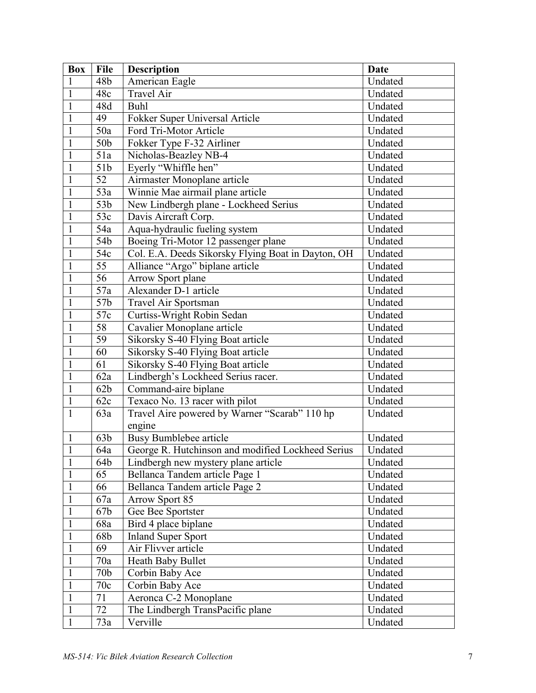| <b>Box</b>   | <b>File</b>     | <b>Description</b>                                 | Date    |
|--------------|-----------------|----------------------------------------------------|---------|
| 1            | 48b             | American Eagle                                     | Undated |
| $\mathbf{1}$ | 48c             | <b>Travel Air</b>                                  | Undated |
| $\mathbf{1}$ | 48d             | Buhl                                               | Undated |
| $\mathbf{1}$ | 49              | Fokker Super Universal Article                     | Undated |
| $\mathbf{1}$ | 50a             | Ford Tri-Motor Article                             | Undated |
| $\mathbf{1}$ | 50b             | Fokker Type F-32 Airliner                          | Undated |
| $\mathbf{1}$ | 51a             | Nicholas-Beazley NB-4                              | Undated |
| $\mathbf{1}$ | 51b             | Eyerly "Whiffle hen"                               | Undated |
| $\mathbf{1}$ | 52              | Airmaster Monoplane article                        | Undated |
| $\mathbf{1}$ | 53a             | Winnie Mae airmail plane article                   | Undated |
| $\mathbf{1}$ | 53 <sub>b</sub> | New Lindbergh plane - Lockheed Serius              | Undated |
| $\mathbf{1}$ | 53c             | Davis Aircraft Corp.                               | Undated |
| $\mathbf{1}$ | 54a             | Aqua-hydraulic fueling system                      | Undated |
| $\mathbf{1}$ | 54b             | Boeing Tri-Motor 12 passenger plane                | Undated |
| $\mathbf{1}$ | 54c             | Col. E.A. Deeds Sikorsky Flying Boat in Dayton, OH | Undated |
| $\mathbf{1}$ | 55              | Alliance "Argo" biplane article                    | Undated |
| $\mathbf{1}$ | $\overline{56}$ | <b>Arrow Sport plane</b>                           | Undated |
| $\mathbf{1}$ | 57a             | Alexander D-1 article                              | Undated |
| $\mathbf{1}$ | 57b             | Travel Air Sportsman                               | Undated |
| $\mathbf{1}$ | 57c             | Curtiss-Wright Robin Sedan                         | Undated |
| $\mathbf{1}$ | 58              | Cavalier Monoplane article                         | Undated |
| $\mathbf{1}$ | 59              | Sikorsky S-40 Flying Boat article                  | Undated |
| $\mathbf{1}$ | 60              | Sikorsky S-40 Flying Boat article                  | Undated |
| $\mathbf{1}$ | 61              | Sikorsky S-40 Flying Boat article                  | Undated |
| $\mathbf{1}$ | 62a             | Lindbergh's Lockheed Serius racer.                 | Undated |
| $\mathbf{1}$ | 62b             | Command-aire biplane                               | Undated |
| $\mathbf{1}$ | 62c             | Texaco No. 13 racer with pilot                     | Undated |
| $\mathbf{1}$ | 63a             | Travel Aire powered by Warner "Scarab" 110 hp      | Undated |
|              |                 | engine                                             |         |
| $\mathbf{1}$ | 63b             | Busy Bumblebee article                             | Undated |
| $\mathbf{1}$ | 64a             | George R. Hutchinson and modified Lockheed Serius  | Undated |
| $\mathbf{1}$ | 64b             | Lindbergh new mystery plane article                | Undated |
| $\mathbf{1}$ | 65              | Bellanca Tandem article Page 1                     | Undated |
| $\mathbf{1}$ | 66              | Bellanca Tandem article Page 2                     | Undated |
| $\mathbf{1}$ | 67a             | <b>Arrow Sport 85</b>                              | Undated |
| $\mathbf{1}$ | 67b             | Gee Bee Sportster                                  | Undated |
| $\mathbf{1}$ | 68a             | Bird 4 place biplane                               | Undated |
| $\mathbf{1}$ | 68b             | <b>Inland Super Sport</b>                          | Undated |
| $\mathbf{1}$ | 69              | Air Flivver article                                | Undated |
| $\mathbf{1}$ | 70a             | Heath Baby Bullet                                  | Undated |
| $\mathbf{1}$ | 70 <sub>b</sub> | Corbin Baby Ace                                    | Undated |
| $\mathbf{1}$ | 70c             | Corbin Baby Ace                                    | Undated |
| $\mathbf{1}$ | 71              | Aeronca C-2 Monoplane                              | Undated |
| $\mathbf{1}$ | 72              | The Lindbergh TransPacific plane                   | Undated |
| $\mathbf{1}$ | 73a             | Verville                                           | Undated |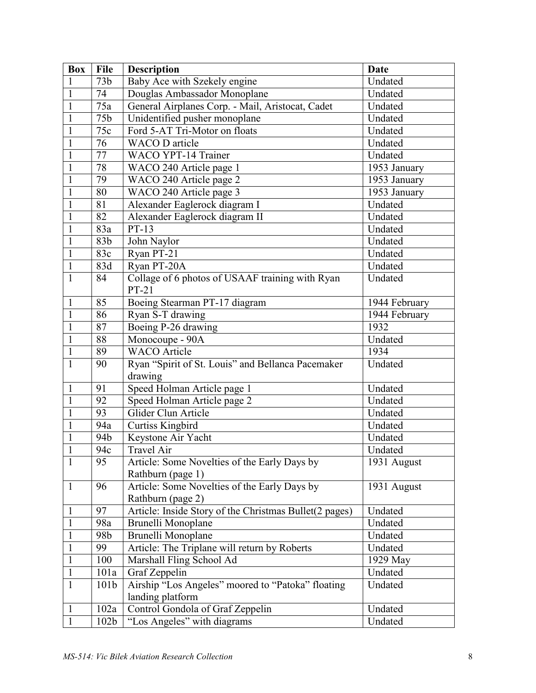| <b>Box</b>   | <b>File</b>      | <b>Description</b>                                     | <b>Date</b>   |
|--------------|------------------|--------------------------------------------------------|---------------|
| 1            | 73b              | Baby Ace with Szekely engine                           | Undated       |
| $\mathbf{1}$ | 74               | Douglas Ambassador Monoplane                           | Undated       |
| $\mathbf{1}$ | 75a              | General Airplanes Corp. - Mail, Aristocat, Cadet       | Undated       |
| $\mathbf{1}$ | 75b              | Unidentified pusher monoplane                          | Undated       |
| $\mathbf{1}$ | 75c              | Ford 5-AT Tri-Motor on floats                          | Undated       |
| 1            | 76               | <b>WACO</b> D article                                  | Undated       |
| $\mathbf{1}$ | 77               | <b>WACO YPT-14 Trainer</b>                             | Undated       |
| $\mathbf{1}$ | 78               | WACO 240 Article page 1                                | 1953 January  |
| $\mathbf{1}$ | 79               | WACO 240 Article page 2                                | 1953 January  |
| 1            | 80               | WACO 240 Article page 3                                | 1953 January  |
| 1            | 81               | Alexander Eaglerock diagram I                          | Undated       |
| $\mathbf{1}$ | 82               | Alexander Eaglerock diagram II                         | Undated       |
| 1            | 83a              | $PT-13$                                                | Undated       |
| $\mathbf{1}$ | 83 <sub>b</sub>  | John Naylor                                            | Undated       |
| $\mathbf{1}$ | 83c              | Ryan PT-21                                             | Undated       |
| $\mathbf{1}$ | 83d              | Ryan PT-20A                                            | Undated       |
| 1            | 84               | Collage of 6 photos of USAAF training with Ryan        | Undated       |
|              |                  | $PT-21$                                                |               |
| $\mathbf{1}$ | 85               | Boeing Stearman PT-17 diagram                          | 1944 February |
| $\mathbf{1}$ | 86               | Ryan S-T drawing                                       | 1944 February |
| $\mathbf{1}$ | 87               | Boeing P-26 drawing                                    | 1932          |
| $\mathbf{1}$ | 88               | Monocoupe - 90A                                        | Undated       |
| $\mathbf{1}$ | 89               | <b>WACO</b> Article                                    | 1934          |
| $\mathbf{1}$ | 90               | Ryan "Spirit of St. Louis" and Bellanca Pacemaker      | Undated       |
|              |                  | drawing                                                |               |
| $\mathbf{1}$ | 91               | Speed Holman Article page 1                            | Undated       |
| $\mathbf{1}$ | 92               | Speed Holman Article page 2                            | Undated       |
| $\mathbf{1}$ | 93               | Glider Clun Article                                    | Undated       |
| 1            | 94a              | Curtiss Kingbird                                       | Undated       |
| 1            | 94b              | Keystone Air Yacht                                     | Undated       |
| $\mathbf{1}$ | 94c              | <b>Travel Air</b>                                      | Undated       |
| $\mathbf{1}$ | 95               | Article: Some Novelties of the Early Days by           | 1931 August   |
|              |                  | Rathburn (page 1)                                      |               |
| $\mathbf{1}$ | 96               | Article: Some Novelties of the Early Days by           | 1931 August   |
|              |                  | Rathburn (page 2)                                      |               |
| $\mathbf{1}$ | 97               | Article: Inside Story of the Christmas Bullet(2 pages) | Undated       |
| $\mathbf{1}$ | 98a              | Brunelli Monoplane                                     | Undated       |
| $\mathbf{1}$ | 98b              | Brunelli Monoplane                                     | Undated       |
| $\mathbf{1}$ | 99               | Article: The Triplane will return by Roberts           | Undated       |
| $\mathbf{1}$ | 100              | Marshall Fling School Ad                               | 1929 May      |
| $\mathbf{1}$ | 101a             | Graf Zeppelin                                          | Undated       |
| $\mathbf{1}$ | 101 <sub>b</sub> | Airship "Los Angeles" moored to "Patoka" floating      | Undated       |
|              |                  | landing platform                                       |               |
| $\mathbf{1}$ | 102a             | Control Gondola of Graf Zeppelin                       | Undated       |
| $\mathbf{1}$ | 102 <sub>b</sub> | "Los Angeles" with diagrams                            | Undated       |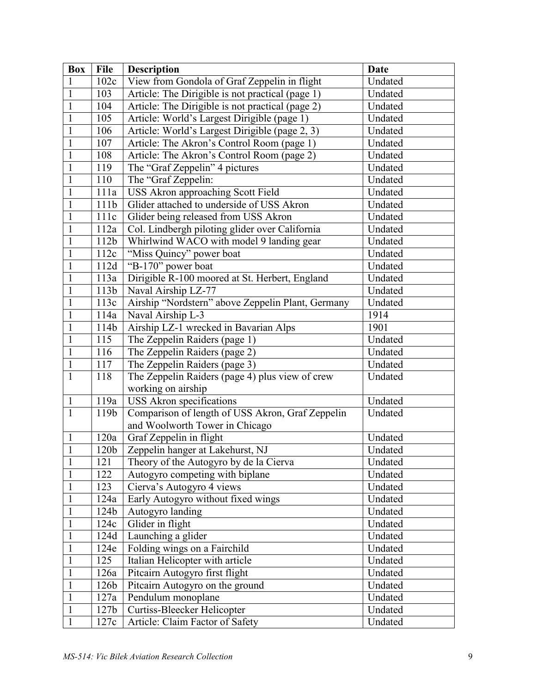| <b>Box</b>   | <b>File</b>      | <b>Description</b>                                | <b>Date</b> |
|--------------|------------------|---------------------------------------------------|-------------|
| 1            | 102c             | View from Gondola of Graf Zeppelin in flight      | Undated     |
| $\mathbf{1}$ | 103              | Article: The Dirigible is not practical (page 1)  | Undated     |
| $\mathbf{1}$ | 104              | Article: The Dirigible is not practical (page 2)  | Undated     |
| $\mathbf{1}$ | 105              | Article: World's Largest Dirigible (page 1)       | Undated     |
| $\mathbf{1}$ | 106              | Article: World's Largest Dirigible (page 2, 3)    | Undated     |
| $\mathbf{1}$ | 107              | Article: The Akron's Control Room (page 1)        | Undated     |
| $\mathbf{1}$ | 108              | Article: The Akron's Control Room (page 2)        | Undated     |
| $\mathbf{1}$ | 119              | The "Graf Zeppelin" 4 pictures                    | Undated     |
| $\mathbf{1}$ | 110              | The "Graf Zeppelin:                               | Undated     |
| 1            | 111a             | USS Akron approaching Scott Field                 | Undated     |
| $\mathbf{1}$ | 111b             | Glider attached to underside of USS Akron         | Undated     |
| $\mathbf{1}$ | 111c             | Glider being released from USS Akron              | Undated     |
| $\mathbf{1}$ | 112a             | Col. Lindbergh piloting glider over California    | Undated     |
| $\mathbf{1}$ | 112b             | Whirlwind WACO with model 9 landing gear          | Undated     |
| $\mathbf{1}$ | 112c             | "Miss Quincy" power boat                          | Undated     |
| $\mathbf{1}$ | 112d             | "B-170" power boat                                | Undated     |
| $\mathbf{1}$ | 113a             | Dirigible R-100 moored at St. Herbert, England    | Undated     |
| $\mathbf{1}$ | 113b             | Naval Airship LZ-77                               | Undated     |
| $\mathbf{1}$ | 113c             | Airship "Nordstern" above Zeppelin Plant, Germany | Undated     |
| $\mathbf{1}$ | 114a             | Naval Airship L-3                                 | 1914        |
| $\mathbf{1}$ | 114b             | Airship LZ-1 wrecked in Bavarian Alps             | 1901        |
| $\mathbf{1}$ | 115              | The Zeppelin Raiders (page 1)                     | Undated     |
| $\mathbf{1}$ | 116              | The Zeppelin Raiders (page 2)                     | Undated     |
| $\mathbf{1}$ | 117              | The Zeppelin Raiders (page 3)                     | Undated     |
| $\mathbf{1}$ | 118              | The Zeppelin Raiders (page 4) plus view of crew   | Undated     |
|              |                  | working on airship                                |             |
| $\mathbf{1}$ | 119a             | USS Akron specifications                          | Undated     |
| $\mathbf{1}$ | 119b             | Comparison of length of USS Akron, Graf Zeppelin  | Undated     |
|              |                  | and Woolworth Tower in Chicago                    |             |
| $\mathbf{1}$ | 120a             | Graf Zeppelin in flight                           | Undated     |
| $\mathbf{1}$ | 120b             | Zeppelin hanger at Lakehurst, NJ                  | Undated     |
| $\mathbf{1}$ | 121              | Theory of the Autogyro by de la Cierva            | Undated     |
| $\mathbf{1}$ | 122              | Autogyro competing with biplane                   | Undated     |
| $\mathbf{1}$ | 123              | Cierva's Autogyro 4 views                         | Undated     |
| $\mathbf{1}$ | 124a             | Early Autogyro without fixed wings                | Undated     |
| $\mathbf{1}$ | 124b             | Autogyro landing                                  | Undated     |
| $\mathbf{1}$ | 124c             | Glider in flight                                  | Undated     |
| $\mathbf{1}$ | 124d             | Launching a glider                                | Undated     |
| $\mathbf{1}$ | 124e             | Folding wings on a Fairchild                      | Undated     |
| $\mathbf{1}$ | 125              | Italian Helicopter with article                   | Undated     |
| $\mathbf{1}$ | 126a             | Pitcairn Autogyro first flight                    | Undated     |
| $\mathbf{1}$ | 126b             | Pitcairn Autogyro on the ground                   | Undated     |
| $\mathbf{1}$ | 127a             | Pendulum monoplane                                | Undated     |
| $\mathbf{1}$ | 127 <sub>b</sub> | Curtiss-Bleecker Helicopter                       | Undated     |
| $\mathbf{1}$ | 127c             | Article: Claim Factor of Safety                   | Undated     |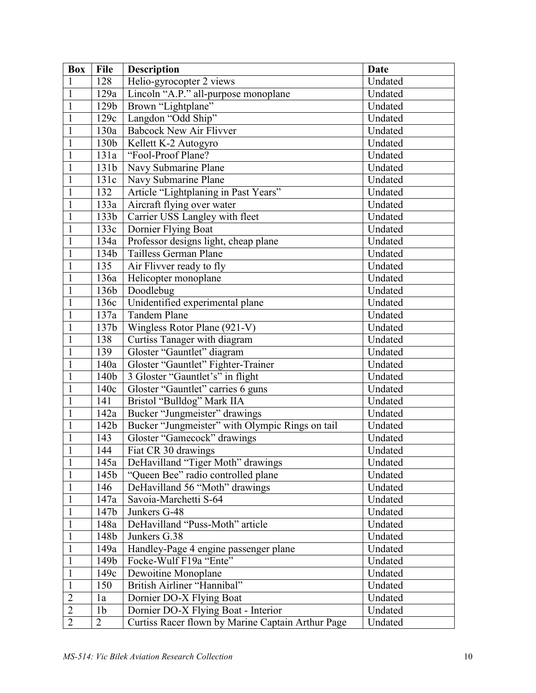| <b>Box</b>     | <b>File</b>    | <b>Description</b>                                | <b>Date</b> |
|----------------|----------------|---------------------------------------------------|-------------|
| $\mathbf{1}$   | 128            | Helio-gyrocopter 2 views                          | Undated     |
| $\mathbf{1}$   | 129a           | Lincoln "A.P." all-purpose monoplane              | Undated     |
| $\mathbf{1}$   | 129b           | Brown "Lightplane"                                | Undated     |
| $\mathbf{1}$   | 129c           | Langdon "Odd Ship"                                | Undated     |
| $\mathbf{1}$   | 130a           | <b>Babcock New Air Flivver</b>                    | Undated     |
| $\mathbf{1}$   | 130b           | Kellett K-2 Autogyro                              | Undated     |
| $\mathbf{1}$   | 131a           | "Fool-Proof Plane?                                | Undated     |
| $\mathbf{1}$   | 131b           | Navy Submarine Plane                              | Undated     |
| $\mathbf{1}$   | 131c           | Navy Submarine Plane                              | Undated     |
| $\mathbf{1}$   | 132            | Article "Lightplaning in Past Years"              | Undated     |
| $\mathbf{1}$   | 133a           | Aircraft flying over water                        | Undated     |
| $\mathbf{1}$   | 133b           | Carrier USS Langley with fleet                    | Undated     |
| $\mathbf{1}$   | 133c           | Dornier Flying Boat                               | Undated     |
| $\mathbf{1}$   | 134a           | Professor designs light, cheap plane              | Undated     |
| $\mathbf{1}$   | 134b           | Tailless German Plane                             | Undated     |
| $\mathbf{1}$   | 135            | Air Flivver ready to fly                          | Undated     |
| $\mathbf{1}$   | 136a           | Helicopter monoplane                              | Undated     |
| $\mathbf{1}$   | 136b           | Doodlebug                                         | Undated     |
| $\mathbf{1}$   | 136c           | Unidentified experimental plane                   | Undated     |
| $\mathbf{1}$   | 137a           | <b>Tandem Plane</b>                               | Undated     |
| $\mathbf{1}$   | 137b           | Wingless Rotor Plane (921-V)                      | Undated     |
| $\mathbf{1}$   | 138            | Curtiss Tanager with diagram                      | Undated     |
| $\mathbf{1}$   | 139            | Gloster "Gauntlet" diagram                        | Undated     |
| $\mathbf{1}$   | 140a           | Gloster "Gauntlet" Fighter-Trainer                | Undated     |
| $\mathbf{1}$   | 140b           | 3 Gloster "Gauntlet's" in flight                  | Undated     |
| $\mathbf{1}$   | 140c           | Gloster "Gauntlet" carries 6 guns                 | Undated     |
| $\mathbf{1}$   | 141            | Bristol "Bulldog" Mark IIA                        | Undated     |
| $\mathbf{1}$   | 142a           | Bucker "Jungmeister" drawings                     | Undated     |
| $\mathbf{1}$   | 142b           | Bucker "Jungmeister" with Olympic Rings on tail   | Undated     |
| $\mathbf{1}$   | 143            | Gloster "Gamecock" drawings                       | Undated     |
| $\mathbf{1}$   | 144            | Fiat CR 30 drawings                               | Undated     |
| $\mathbf{1}$   | 145a           | DeHavilland "Tiger Moth" drawings                 | Undated     |
| $\mathbf{1}$   | 145b           | "Queen Bee" radio controlled plane                | Undated     |
| $\mathbf{1}$   | 146            | DeHavilland 56 "Moth" drawings                    | Undated     |
| $\mathbf{1}$   | 147a           | Savoia-Marchetti S-64                             | Undated     |
| $\mathbf{1}$   | 147b           | Junkers G-48                                      | Undated     |
| $\mathbf{1}$   | 148a           | DeHavilland "Puss-Moth" article                   | Undated     |
| $\mathbf{1}$   | 148b           | Junkers G.38                                      | Undated     |
| $\mathbf{1}$   | 149a           | Handley-Page 4 engine passenger plane             | Undated     |
| $\mathbf{1}$   | 149b           | Focke-Wulf F19a "Ente"                            | Undated     |
| $\mathbf{1}$   | 149c           | Dewoitine Monoplane                               | Undated     |
| $\mathbf{1}$   | 150            | British Airliner "Hannibal"                       | Undated     |
| $\overline{2}$ | 1a             | Dornier DO-X Flying Boat                          | Undated     |
| $\overline{c}$ | 1 <sub>b</sub> | Dornier DO-X Flying Boat - Interior               | Undated     |
| $\overline{2}$ | $\overline{2}$ | Curtiss Racer flown by Marine Captain Arthur Page | Undated     |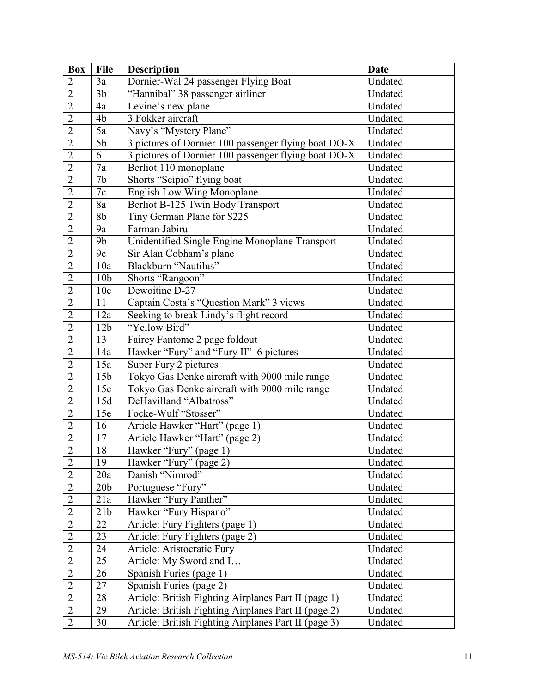| <b>Box</b>     | <b>File</b>     | <b>Description</b>                                   | <b>Date</b> |
|----------------|-----------------|------------------------------------------------------|-------------|
| $\overline{2}$ | 3a              | Dornier-Wal 24 passenger Flying Boat                 | Undated     |
| $\overline{2}$ | 3 <sub>b</sub>  | "Hannibal" 38 passenger airliner                     | Undated     |
| $\overline{2}$ | 4a              | Levine's new plane                                   | Undated     |
| $\overline{2}$ | 4b              | 3 Fokker aircraft                                    | Undated     |
| $\overline{2}$ | 5a              | Navy's "Mystery Plane"                               | Undated     |
| $\overline{2}$ | 5 <sub>b</sub>  | 3 pictures of Dornier 100 passenger flying boat DO-X | Undated     |
| $\overline{2}$ | 6               | 3 pictures of Dornier 100 passenger flying boat DO-X | Undated     |
| $\overline{2}$ | 7a              | Berliot 110 monoplane                                | Undated     |
| $\overline{2}$ | 7 <sub>b</sub>  | Shorts "Scipio" flying boat                          | Undated     |
| $\overline{2}$ | $7c$            | English Low Wing Monoplane                           | Undated     |
| $\overline{2}$ | 8a              | Berliot B-125 Twin Body Transport                    | Undated     |
| $\overline{2}$ | 8 <sub>b</sub>  | Tiny German Plane for \$225                          | Undated     |
| $\overline{2}$ | 9a              | Farman Jabiru                                        | Undated     |
| $\overline{2}$ | 9 <sub>b</sub>  | Unidentified Single Engine Monoplane Transport       | Undated     |
| $\overline{2}$ | 9c              | Sir Alan Cobham's plane                              | Undated     |
| $\overline{2}$ | 10a             | Blackburn "Nautilus"                                 | Undated     |
| $\overline{2}$ | 10 <sub>b</sub> | Shorts "Rangoon"                                     | Undated     |
| $\overline{2}$ | 10c             | Dewoitine D-27                                       | Undated     |
| $\overline{2}$ | 11              | Captain Costa's "Question Mark" 3 views              | Undated     |
| $\overline{2}$ | 12a             | Seeking to break Lindy's flight record               | Undated     |
| $\overline{2}$ | 12 <sub>b</sub> | "Yellow Bird"                                        | Undated     |
| $\overline{2}$ | 13              | Fairey Fantome 2 page foldout                        | Undated     |
| $\overline{2}$ | 14a             | Hawker "Fury" and "Fury II" 6 pictures               | Undated     |
| $\overline{2}$ | 15a             | Super Fury 2 pictures                                | Undated     |
| $\overline{2}$ | 15 <sub>b</sub> | Tokyo Gas Denke aircraft with 9000 mile range        | Undated     |
| $\overline{2}$ | 15c             | Tokyo Gas Denke aircraft with 9000 mile range        | Undated     |
| $\overline{2}$ | 15d             | DeHavilland "Albatross"                              | Undated     |
| $\overline{2}$ | 15e             | Focke-Wulf "Stosser"                                 | Undated     |
| $\overline{2}$ | 16              | Article Hawker "Hart" (page 1)                       | Undated     |
| $\overline{2}$ | 17              | Article Hawker "Hart" (page 2)                       | Undated     |
| $\overline{2}$ | 18              | Hawker "Fury" (page 1)                               | Undated     |
| $\overline{2}$ | 19              | Hawker "Fury" (page 2)                               | Undated     |
| $\overline{2}$ | 20a             | Danish "Nimrod"                                      | Undated     |
| $\overline{2}$ | 20 <sub>b</sub> | Portuguese "Fury"                                    | Undated     |
| $\overline{2}$ | 21a             | Hawker "Fury Panther"                                | Undated     |
| $\overline{2}$ | 21b             | Hawker "Fury Hispano"                                | Undated     |
| $\overline{2}$ | 22              | Article: Fury Fighters (page 1)                      | Undated     |
| $\overline{2}$ | 23              | Article: Fury Fighters (page 2)                      | Undated     |
| $\overline{2}$ | 24              | Article: Aristocratic Fury                           | Undated     |
| $\overline{2}$ | $\overline{25}$ | Article: My Sword and I                              | Undated     |
| $\overline{2}$ | 26              | Spanish Furies (page 1)                              | Undated     |
| $\overline{2}$ | 27              | Spanish Furies (page 2)                              | Undated     |
| $\overline{2}$ | 28              | Article: British Fighting Airplanes Part II (page 1) | Undated     |
| $\overline{2}$ | 29              | Article: British Fighting Airplanes Part II (page 2) | Undated     |
| $\overline{2}$ | 30              | Article: British Fighting Airplanes Part II (page 3) | Undated     |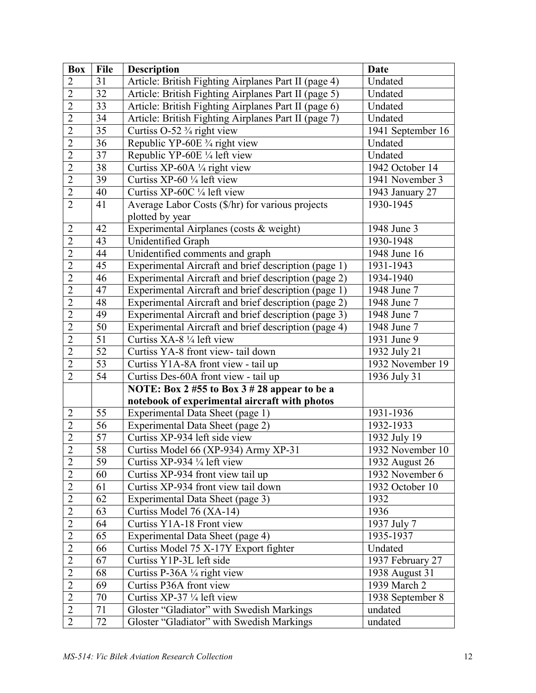| <b>Box</b>     | <b>File</b>     | <b>Description</b>                                   | <b>Date</b>       |
|----------------|-----------------|------------------------------------------------------|-------------------|
| $\overline{2}$ | 31              | Article: British Fighting Airplanes Part II (page 4) | Undated           |
| $\overline{2}$ | 32              | Article: British Fighting Airplanes Part II (page 5) | Undated           |
| $\overline{2}$ | 33              | Article: British Fighting Airplanes Part II (page 6) | Undated           |
| $\overline{2}$ | $\overline{34}$ | Article: British Fighting Airplanes Part II (page 7) | Undated           |
| $\overline{2}$ | 35              | Curtiss $O-52 \frac{3}{4}$ right view                | 1941 September 16 |
| $\overline{2}$ | 36              | Republic YP-60E 3/4 right view                       | Undated           |
| $\overline{2}$ | 37              | Republic YP-60E 1/4 left view                        | Undated           |
| $\overline{2}$ | 38              | Curtiss XP-60A 1/4 right view                        | 1942 October 14   |
| $\overline{2}$ | 39              | Curtiss XP-60 $\frac{1}{4}$ left view                | 1941 November 3   |
| $\overline{2}$ | 40              | Curtiss XP-60C 1/4 left view                         | 1943 January 27   |
| $\overline{2}$ | 41              | Average Labor Costs (\$/hr) for various projects     | 1930-1945         |
|                |                 | plotted by year                                      |                   |
| $\overline{2}$ | 42              | Experimental Airplanes (costs & weight)              | 1948 June 3       |
| $\overline{2}$ | 43              | Unidentified Graph                                   | 1930-1948         |
| $\overline{2}$ | 44              | Unidentified comments and graph                      | 1948 June 16      |
| $\overline{2}$ | 45              | Experimental Aircraft and brief description (page 1) | 1931-1943         |
| $\overline{2}$ | 46              | Experimental Aircraft and brief description (page 2) | 1934-1940         |
| $\overline{2}$ | 47              | Experimental Aircraft and brief description (page 1) | 1948 June 7       |
| $\overline{2}$ | 48              | Experimental Aircraft and brief description (page 2) | 1948 June 7       |
| $\overline{2}$ | 49              | Experimental Aircraft and brief description (page 3) | 1948 June 7       |
| $\overline{2}$ | 50              | Experimental Aircraft and brief description (page 4) | 1948 June 7       |
| $\overline{2}$ | $\overline{51}$ | Curtiss XA-8 1/4 left view                           | 1931 June 9       |
| $\overline{2}$ | 52              | Curtiss YA-8 front view- tail down                   | 1932 July 21      |
| $\overline{2}$ | 53              | Curtiss Y1A-8A front view - tail up                  | 1932 November 19  |
| $\overline{2}$ | 54              | Curtiss Des-60A front view - tail up                 | 1936 July 31      |
|                |                 | NOTE: Box 2 #55 to Box 3 # 28 appear to be a         |                   |
|                |                 | notebook of experimental aircraft with photos        |                   |
| $\overline{2}$ | 55              | Experimental Data Sheet (page 1)                     | 1931-1936         |
| $\overline{2}$ | $\overline{56}$ | Experimental Data Sheet (page 2)                     | 1932-1933         |
| $\overline{2}$ | 57              | Curtiss XP-934 left side view                        | 1932 July 19      |
| $\overline{2}$ | 58              | Curtiss Model 66 (XP-934) Army XP-31                 | 1932 November 10  |
| $\overline{2}$ | 59              | Curtiss XP-934 $\frac{1}{4}$ left view               | 1932 August 26    |
| $\overline{2}$ | 60              | Curtiss XP-934 front view tail up                    | 1932 November 6   |
| $\overline{2}$ | 61              | Curtiss XP-934 front view tail down                  | 1932 October 10   |
| $\overline{2}$ | 62              | Experimental Data Sheet (page 3)                     | 1932              |
| $\overline{2}$ | 63              | Curtiss Model 76 (XA-14)                             | 1936              |
| $\overline{2}$ | 64              | Curtiss Y1A-18 Front view                            | 1937 July 7       |
| $\overline{2}$ | 65              | Experimental Data Sheet (page 4)                     | 1935-1937         |
| $\overline{2}$ | 66              | Curtiss Model 75 X-17Y Export fighter                | Undated           |
| $\overline{2}$ | 67              | Curtiss Y1P-3L left side                             | 1937 February 27  |
| $\overline{2}$ | 68              | Curtiss P-36A 1/4 right view                         | 1938 August 31    |
| $\overline{2}$ | 69              | Curtiss P36A front view                              | 1939 March 2      |
| $\overline{2}$ | 70              | Curtiss XP-37 1/4 left view                          | 1938 September 8  |
| $\overline{2}$ | 71              | Gloster "Gladiator" with Swedish Markings            | undated           |
| $\overline{2}$ | 72              | Gloster "Gladiator" with Swedish Markings            | undated           |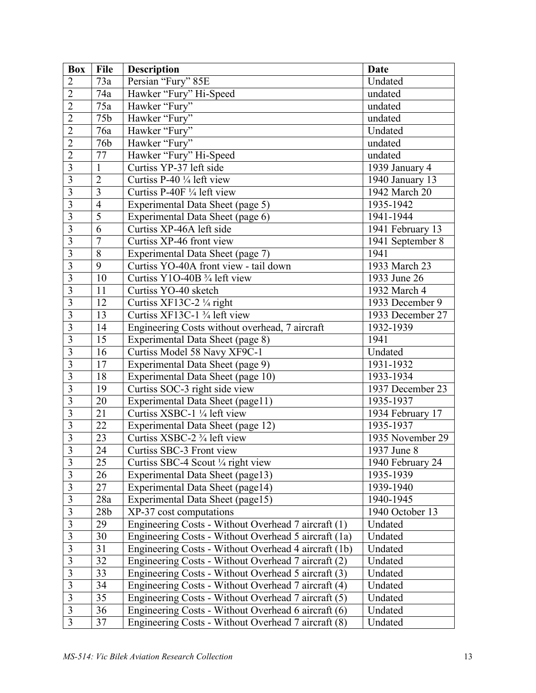| <b>Box</b>              | <b>File</b>     | <b>Description</b>                                    | Date             |
|-------------------------|-----------------|-------------------------------------------------------|------------------|
| $\overline{2}$          | 73a             | Persian "Fury" 85E                                    | Undated          |
| $\overline{2}$          | 74a             | Hawker "Fury" Hi-Speed                                | undated          |
| $\overline{2}$          | 75a             | Hawker "Fury"                                         | undated          |
| $\overline{2}$          | 75b             | Hawker "Fury"                                         | undated          |
| $\overline{2}$          | 76a             | Hawker "Fury"                                         | Undated          |
| $\overline{2}$          | 76b             | Hawker "Fury"                                         | undated          |
| $\overline{2}$          | 77              | Hawker "Fury" Hi-Speed                                | undated          |
| $\overline{3}$          | $\mathbf{1}$    | Curtiss YP-37 left side                               | 1939 January 4   |
| $\overline{\mathbf{3}}$ | $\overline{2}$  | Curtiss P-40 1/4 left view                            | 1940 January 13  |
| $\overline{3}$          | $\overline{3}$  | Curtiss P-40F 1/4 left view                           | 1942 March 20    |
| $\overline{3}$          | $\overline{4}$  | Experimental Data Sheet (page 5)                      | 1935-1942        |
| $\overline{\mathbf{3}}$ | $\overline{5}$  | Experimental Data Sheet (page 6)                      | 1941-1944        |
| $\overline{3}$          | 6               | Curtiss XP-46A left side                              | 1941 February 13 |
| $\overline{3}$          | $\overline{7}$  | Curtiss XP-46 front view                              | 1941 September 8 |
| $\overline{3}$          | $\overline{8}$  | Experimental Data Sheet (page 7)                      | 1941             |
| $\overline{3}$          | 9               | Curtiss YO-40A front view - tail down                 | 1933 March 23    |
| $\overline{3}$          | 10              | Curtiss Y1O-40B 3/4 left view                         | 1933 June 26     |
| $\overline{\mathbf{3}}$ | 11              | Curtiss YO-40 sketch                                  | 1932 March 4     |
| $\overline{3}$          | 12              | Curtiss XF13C-2 1/4 right                             | 1933 December 9  |
| $\overline{3}$          | 13              | Curtiss XF13C-1 <sup>3</sup> / <sub>4</sub> left view | 1933 December 27 |
| $\overline{3}$          | 14              | Engineering Costs without overhead, 7 aircraft        | 1932-1939        |
| $\overline{\mathbf{3}}$ | 15              | Experimental Data Sheet (page 8)                      | 1941             |
| 3                       | 16              | Curtiss Model 58 Navy XF9C-1                          | Undated          |
| $\overline{3}$          | 17              | Experimental Data Sheet (page 9)                      | 1931-1932        |
| $\overline{3}$          | 18              | Experimental Data Sheet (page 10)                     | 1933-1934        |
| $\overline{3}$          | 19              | Curtiss SOC-3 right side view                         | 1937 December 23 |
| $\overline{3}$          | 20              | Experimental Data Sheet (page11)                      | 1935-1937        |
| $\overline{3}$          | 21              | Curtiss XSBC-1 1/4 left view                          | 1934 February 17 |
| $\overline{3}$          | 22              | Experimental Data Sheet (page 12)                     | 1935-1937        |
| $\overline{\mathbf{3}}$ | 23              | Curtiss XSBC-2 <sup>3</sup> / <sub>4</sub> left view  | 1935 November 29 |
| $\overline{3}$          | 24              | Curtiss SBC-3 Front view                              | 1937 June 8      |
| 3                       | 25              | Curtiss SBC-4 Scout $\frac{1}{4}$ right view          | 1940 February 24 |
| 3                       | 26              | Experimental Data Sheet (page13)                      | 1935-1939        |
| 3                       | 27              | Experimental Data Sheet (page14)                      | 1939-1940        |
| $\overline{3}$          | 28a             | Experimental Data Sheet (page15)                      | 1940-1945        |
| 3                       | 28 <sub>b</sub> | XP-37 cost computations                               | 1940 October 13  |
| $\overline{3}$          | 29              | Engineering Costs - Without Overhead 7 aircraft (1)   | Undated          |
| $\overline{3}$          | 30              | Engineering Costs - Without Overhead 5 aircraft (1a)  | Undated          |
| 3                       | 31              | Engineering Costs - Without Overhead 4 aircraft (1b)  | Undated          |
| $\overline{3}$          | 32              | Engineering Costs - Without Overhead 7 aircraft (2)   | Undated          |
| $\overline{3}$          | 33              | Engineering Costs - Without Overhead 5 aircraft (3)   | Undated          |
| $\mathfrak{Z}$          | 34              | Engineering Costs - Without Overhead 7 aircraft (4)   | Undated          |
| $\overline{3}$          | 35              | Engineering Costs - Without Overhead 7 aircraft (5)   | Undated          |
| $\overline{3}$          | 36              | Engineering Costs - Without Overhead 6 aircraft (6)   | Undated          |
| $\overline{3}$          | 37              | Engineering Costs - Without Overhead 7 aircraft (8)   | Undated          |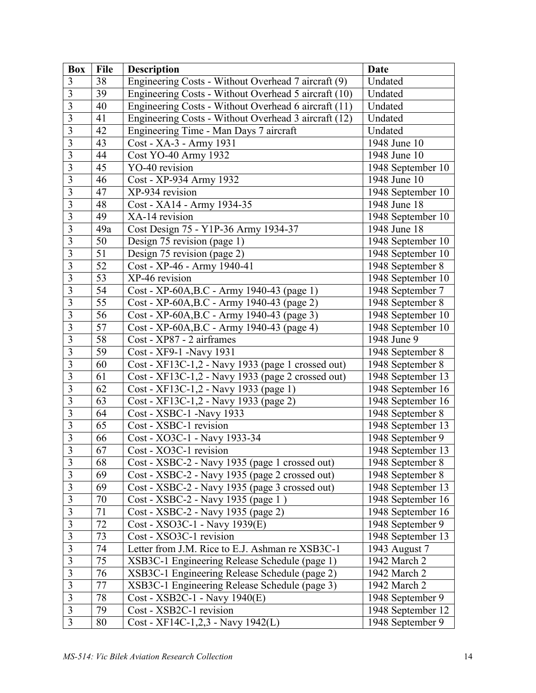| <b>Box</b>              | <b>File</b>     | <b>Description</b>                                   | <b>Date</b>       |
|-------------------------|-----------------|------------------------------------------------------|-------------------|
| 3                       | 38              | Engineering Costs - Without Overhead 7 aircraft (9)  | Undated           |
| 3                       | 39              | Engineering Costs - Without Overhead 5 aircraft (10) | Undated           |
| 3                       | 40              | Engineering Costs - Without Overhead 6 aircraft (11) | Undated           |
| $\overline{3}$          | 41              | Engineering Costs - Without Overhead 3 aircraft (12) | Undated           |
| $\overline{\mathbf{3}}$ | 42              | Engineering Time - Man Days 7 aircraft               | Undated           |
| $\overline{3}$          | 43              | Cost - XA-3 - Army 1931                              | 1948 June 10      |
| $\overline{3}$          | 44              | Cost YO-40 Army 1932                                 | 1948 June 10      |
| $\overline{3}$          | 45              | YO-40 revision                                       | 1948 September 10 |
| $\overline{\mathbf{3}}$ | 46              | Cost - XP-934 Army 1932                              | 1948 June 10      |
| $\overline{\mathbf{3}}$ | 47              | XP-934 revision                                      | 1948 September 10 |
| $\overline{\mathbf{3}}$ | 48              | Cost - XA14 - Army 1934-35                           | 1948 June 18      |
| $\overline{3}$          | 49              | XA-14 revision                                       | 1948 September 10 |
| $\overline{3}$          | 49a             | Cost Design 75 - Y1P-36 Army 1934-37                 | 1948 June 18      |
| 3                       | 50              | Design 75 revision (page 1)                          | 1948 September 10 |
| $\overline{\mathbf{3}}$ | 51              | Design 75 revision (page 2)                          | 1948 September 10 |
| 3                       | 52              | Cost - XP-46 - Army 1940-41                          | 1948 September 8  |
| $\overline{3}$          | 53              | XP-46 revision                                       | 1948 September 10 |
| $\overline{3}$          | 54              | Cost - XP-60A, B.C - Army 1940-43 (page 1)           | 1948 September 7  |
| $\overline{3}$          | $\overline{55}$ | Cost - XP-60A, B.C - Army 1940-43 (page 2)           | 1948 September 8  |
| $\overline{3}$          | 56              | Cost - XP-60A, B.C - Army 1940-43 (page 3)           | 1948 September 10 |
| $\overline{3}$          | 57              | Cost - XP-60A, B.C - Army 1940-43 (page 4)           | 1948 September 10 |
| $\overline{3}$          | 58              | Cost - XP87 - 2 airframes                            | 1948 June 9       |
| $\overline{\mathbf{3}}$ | 59              | Cost - XF9-1 - Navy 1931                             | 1948 September 8  |
| 3                       | 60              | Cost - XF13C-1,2 - Navy 1933 (page 1 crossed out)    | 1948 September 8  |
| 3                       | 61              | Cost - XF13C-1,2 - Navy 1933 (page 2 crossed out)    | 1948 September 13 |
| $\overline{3}$          | 62              | Cost - XF13C-1,2 - Navy 1933 (page 1)                | 1948 September 16 |
| $\overline{3}$          | 63              | Cost - XF13C-1,2 - Navy 1933 (page 2)                | 1948 September 16 |
| 3                       | 64              | Cost - XSBC-1 - Navy 1933                            | 1948 September 8  |
| $\overline{3}$          | 65              | Cost - XSBC-1 revision                               | 1948 September 13 |
| 3                       | 66              | Cost - XO3C-1 - Navy 1933-34                         | 1948 September 9  |
| $\overline{3}$          | 67              | Cost - XO3C-1 revision                               | 1948 September 13 |
| 3                       | 68              | Cost - XSBC-2 - Navy 1935 (page 1 crossed out)       | 1948 September 8  |
| 3                       | 69              | Cost - XSBC-2 - Navy 1935 (page 2 crossed out)       | 1948 September 8  |
| 3                       | 69              | Cost - XSBC-2 - Navy 1935 (page 3 crossed out)       | 1948 September 13 |
| $\overline{\mathbf{3}}$ | 70              | Cost - XSBC-2 - Navy 1935 (page 1)                   | 1948 September 16 |
| 3                       | 71              | Cost - XSBC-2 - Navy 1935 (page 2)                   | 1948 September 16 |
| 3                       | 72              | Cost - XSO3C-1 - Navy 1939(E)                        | 1948 September 9  |
| $\overline{\mathbf{3}}$ | 73              | Cost - XSO3C-1 revision                              | 1948 September 13 |
| $\overline{3}$          | 74              | Letter from J.M. Rice to E.J. Ashman re XSB3C-1      | 1943 August 7     |
| $\mathfrak{Z}$          | 75              | XSB3C-1 Engineering Release Schedule (page 1)        | 1942 March 2      |
| $\overline{\mathbf{3}}$ | 76              | XSB3C-1 Engineering Release Schedule (page 2)        | 1942 March 2      |
| $\overline{\mathbf{3}}$ | 77              | XSB3C-1 Engineering Release Schedule (page 3)        | 1942 March 2      |
| $\overline{3}$          | 78              | Cost - XSB2C-1 - Navy 1940(E)                        | 1948 September 9  |
| $\overline{3}$          | 79              | Cost - XSB2C-1 revision                              | 1948 September 12 |
| $\overline{3}$          | 80              | Cost - XF14C-1,2,3 - Navy 1942(L)                    | 1948 September 9  |